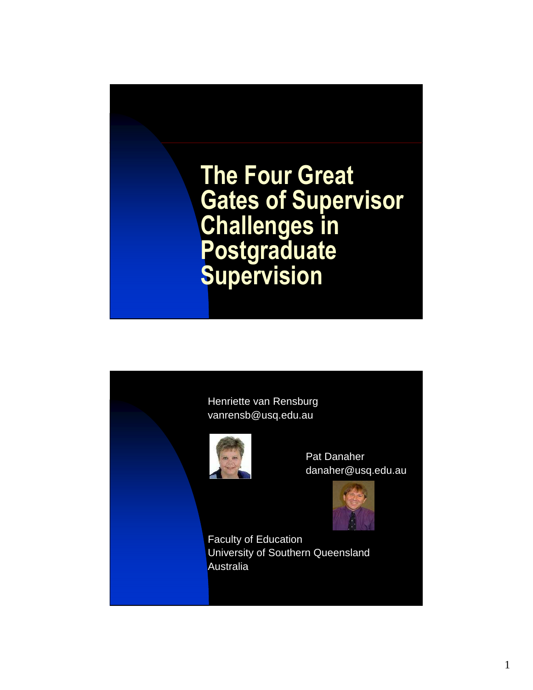

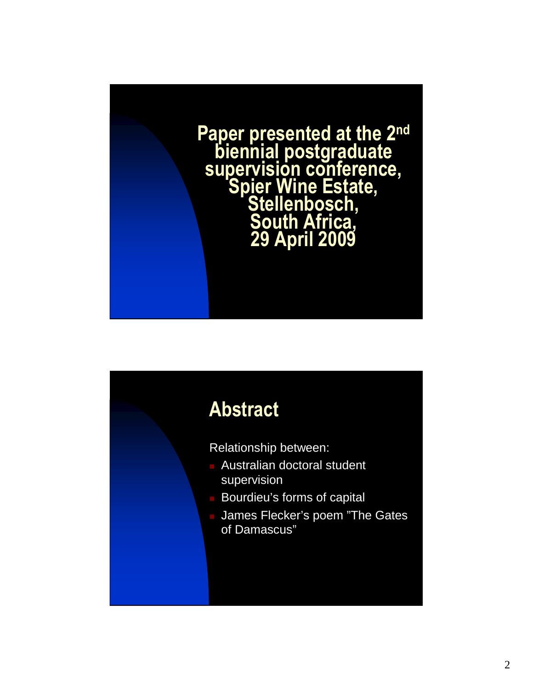

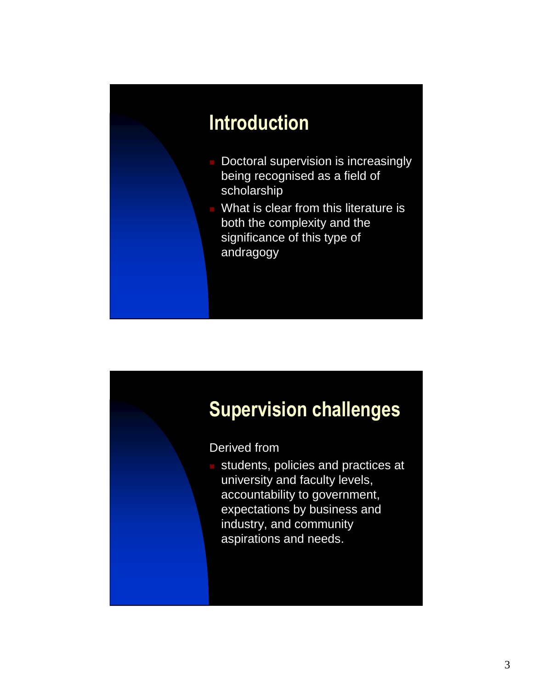## Introduction

- **Doctoral supervision is increasingly** being recognised as a field of scholarship
- **What is clear from this literature is** both the complexity and the significance of this type of andragogy

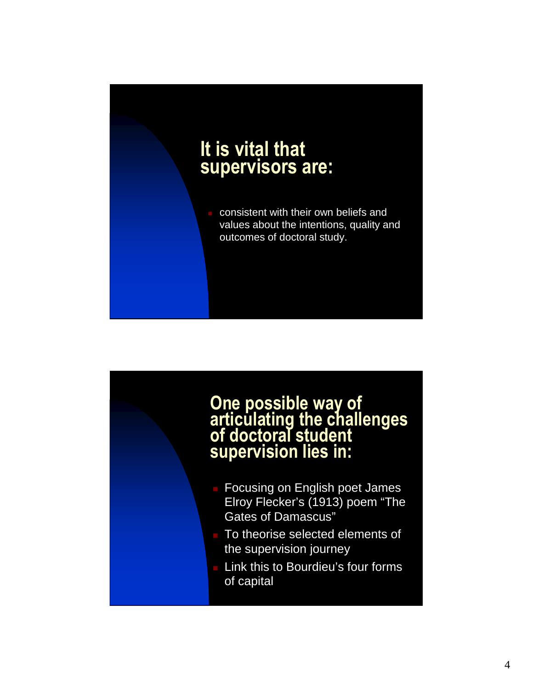# It is vital that supervisors are: consistent with their own beliefs and values about the intentions, quality and outcomes of doctoral study.

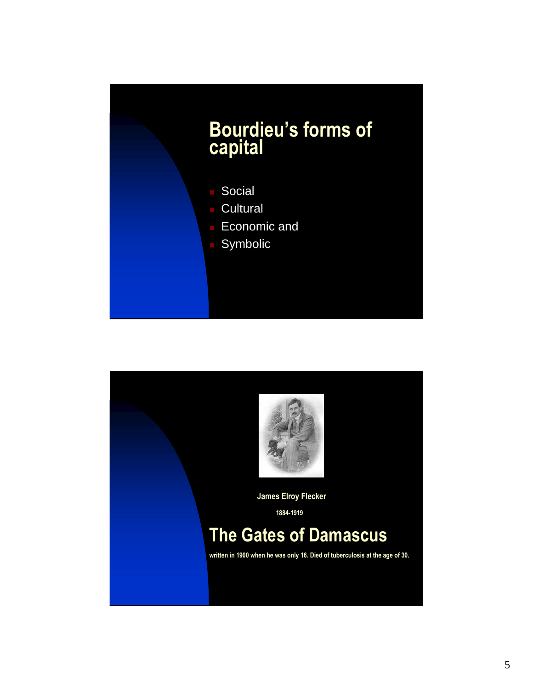

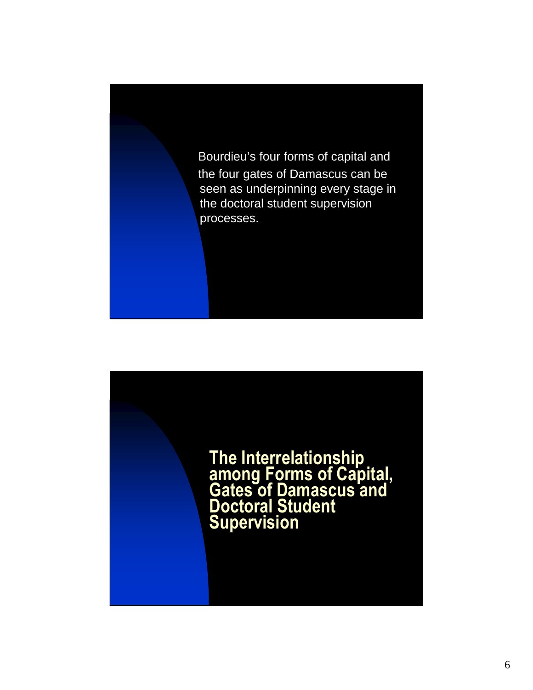

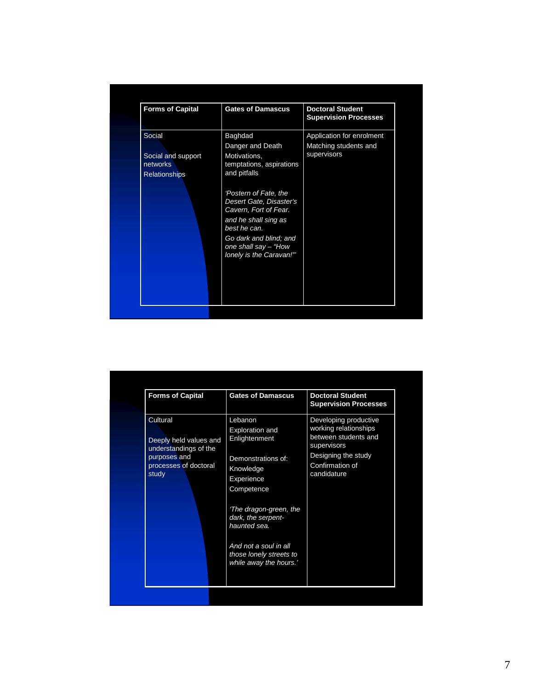| <b>Gates of Damascus</b><br>Baghdad<br>Danger and Death<br>Motivations,<br>temptations, aspirations<br>and pitfalls<br>'Postern of Fate, the<br>Desert Gate, Disaster's<br>Cavern, Fort of Fear.<br>and he shall sing as<br>best he can. |                                                                            | <b>Doctoral Student</b><br><b>Supervision Processes</b><br>Application for enrolment<br>Matching students and<br>supervisors |
|------------------------------------------------------------------------------------------------------------------------------------------------------------------------------------------------------------------------------------------|----------------------------------------------------------------------------|------------------------------------------------------------------------------------------------------------------------------|
|                                                                                                                                                                                                                                          | Go dark and blind; and<br>one shall say - "How<br>lonely is the Caravan!"" |                                                                                                                              |

| <b>Forms of Capital</b>                                                                                       | <b>Gates of Damascus</b>                                                                                                                                                                                                                                       | <b>Doctoral Student</b><br><b>Supervision Processes</b>                                                                                        |
|---------------------------------------------------------------------------------------------------------------|----------------------------------------------------------------------------------------------------------------------------------------------------------------------------------------------------------------------------------------------------------------|------------------------------------------------------------------------------------------------------------------------------------------------|
| Cultural<br>Deeply held values and<br>understandings of the<br>purposes and<br>processes of doctoral<br>study | Lebanon<br><b>Exploration and</b><br>Enlightenment<br>Demonstrations of:<br>Knowledge<br>Experience<br>Competence<br>The dragon-green, the<br>dark, the serpent-<br>haunted sea.<br>And not a soul in all<br>those lonely streets to<br>while away the hours.' | Developing productive<br>working relationships<br>between students and<br>supervisors<br>Designing the study<br>Confirmation of<br>candidature |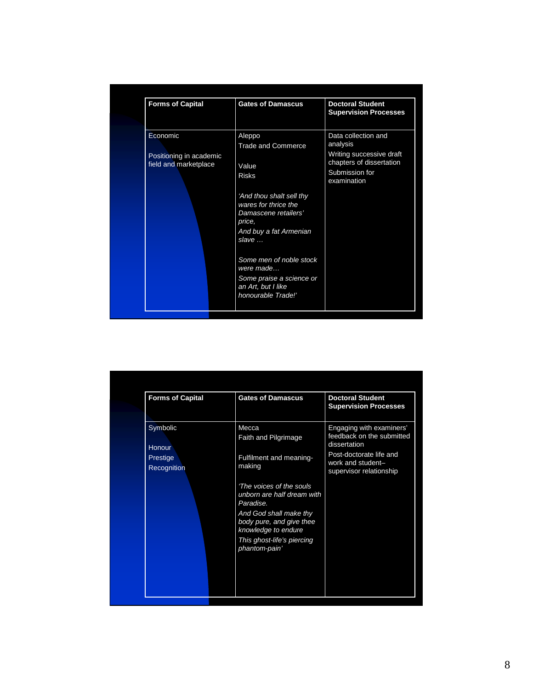| <b>Forms of Capital</b>                                      | <b>Gates of Damascus</b>                                                                                                                                                                                                                                                                              | <b>Doctoral Student</b><br><b>Supervision Processes</b>                                                                  |
|--------------------------------------------------------------|-------------------------------------------------------------------------------------------------------------------------------------------------------------------------------------------------------------------------------------------------------------------------------------------------------|--------------------------------------------------------------------------------------------------------------------------|
| Economic<br>Positioning in academic<br>field and marketplace | Aleppo<br><b>Trade and Commerce</b><br>Value<br><b>Risks</b><br>'And thou shalt sell thy<br>wares for thrice the<br>Damascene retailers'<br>price,<br>And buy a fat Armenian<br>slave<br>Some men of noble stock<br>were made<br>Some praise a science or<br>an Art, but I like<br>honourable Trade!' | Data collection and<br>analysis<br>Writing successive draft<br>chapters of dissertation<br>Submission for<br>examination |

| <b>Forms of Capital</b> | <b>Gates of Damascus</b>                                                  | <b>Doctoral Student</b><br><b>Supervision Processes</b>                 |
|-------------------------|---------------------------------------------------------------------------|-------------------------------------------------------------------------|
| Symbolic<br>Honour      | Mecca<br>Faith and Pilgrimage                                             | Engaging with examiners'<br>feedback on the submitted<br>dissertation   |
| Prestige<br>Recognition | Fulfilment and meaning-<br>making                                         | Post-doctorate life and<br>work and student-<br>supervisor relationship |
|                         | 'The voices of the souls'<br>unborn are half dream with<br>Paradise.      |                                                                         |
|                         | And God shall make thy<br>body pure, and give thee<br>knowledge to endure |                                                                         |
|                         | This ghost-life's piercing<br>phantom-pain'                               |                                                                         |
|                         |                                                                           |                                                                         |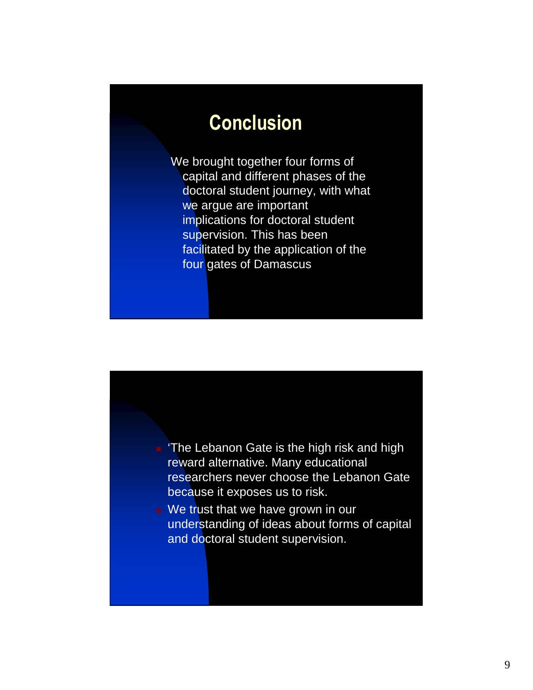### Conclusion

We brought together four forms of capital and different phases of the doctoral student journey, with what we argue are important implications for doctoral student supervision. This has been facilitated by the application of the four gates of Damascus